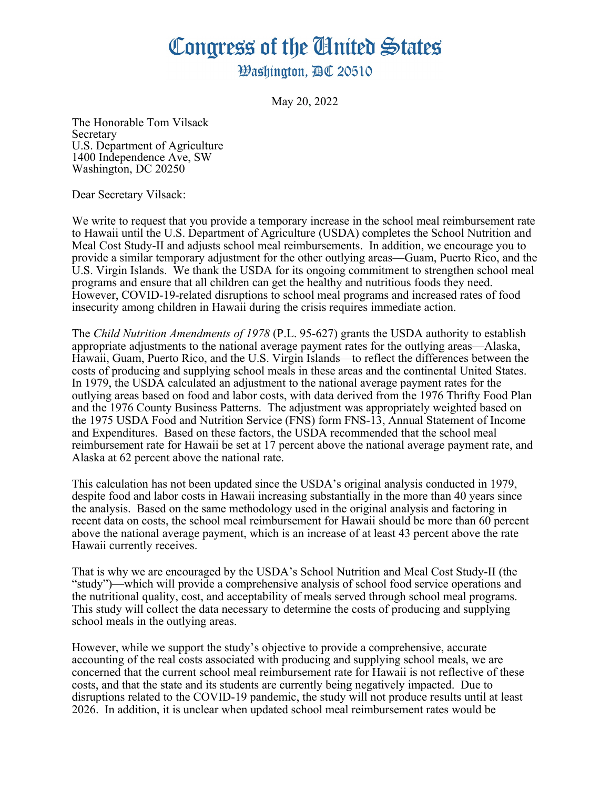## Congress of the Ginited States

**Washinaton. AC 20510** 

May 20, 2022

The Honorable Tom Vilsack **Secretary** U.S. Department of Agriculture 1400 Independence Ave, SW Washington, DC 20250

Dear Secretary Vilsack:

We write to request that you provide a temporary increase in the school meal reimbursement rate to Hawaii until the U.S. Department of Agriculture (USDA) completes the School Nutrition and Meal Cost Study-II and adjusts school meal reimbursements. In addition, we encourage you to provide a similar temporary adjustment for the other outlying areas—Guam, Puerto Rico, and the U.S. Virgin Islands. We thank the USDA for its ongoing commitment to strengthen school meal programs and ensure that all children can get the healthy and nutritious foods they need. However, COVID-19-related disruptions to school meal programs and increased rates of food insecurity among children in Hawaii during the crisis requires immediate action.

The *Child Nutrition Amendments of 1978* (P.L. 95-627) grants the USDA authority to establish appropriate adjustments to the national average payment rates for the outlying areas—Alaska, Hawaii, Guam, Puerto Rico, and the U.S. Virgin Islands—to reflect the differences between the costs of producing and supplying school meals in these areas and the continental United States. In 1979, the USDA calculated an adjustment to the national average payment rates for the outlying areas based on food and labor costs, with data derived from the 1976 Thrifty Food Plan and the 1976 County Business Patterns. The adjustment was appropriately weighted based on the 1975 USDA Food and Nutrition Service (FNS) form FNS-13, Annual Statement of Income and Expenditures. Based on these factors, the USDA recommended that the school meal reimbursement rate for Hawaii be set at 17 percent above the national average payment rate, and Alaska at 62 percent above the national rate.

This calculation has not been updated since the USDA's original analysis conducted in 1979, despite food and labor costs in Hawaii increasing substantially in the more than 40 years since the analysis. Based on the same methodology used in the original analysis and factoring in recent data on costs, the school meal reimbursement for Hawaii should be more than 60 percent above the national average payment, which is an increase of at least 43 percent above the rate Hawaii currently receives.

That is why we are encouraged by the USDA's School Nutrition and Meal Cost Study-II (the "study")—which will provide a comprehensive analysis of school food service operations and the nutritional quality, cost, and acceptability of meals served through school meal programs. This study will collect the data necessary to determine the costs of producing and supplying school meals in the outlying areas.

However, while we support the study's objective to provide a comprehensive, accurate accounting of the real costs associated with producing and supplying school meals, we are concerned that the current school meal reimbursement rate for Hawaii is not reflective of these costs, and that the state and its students are currently being negatively impacted. Due to disruptions related to the COVID-19 pandemic, the study will not produce results until at least 2026. In addition, it is unclear when updated school meal reimbursement rates would be